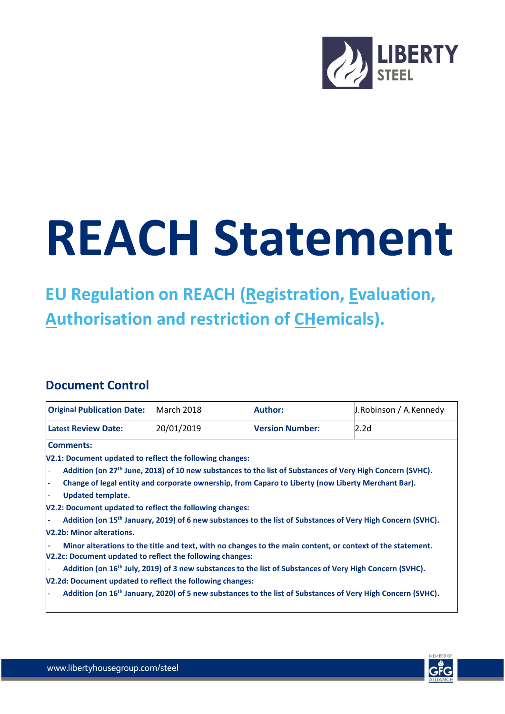

## **REACH Statement**

**EU Regulation on REACH (Registration, Evaluation, Authorisation and restriction of CHemicals).**

## **Document Control**

| <b>Original Publication Date:</b>                                                                                     | <b>March 2018</b> | <b>Author:</b>         | J.Robinson / A.Kennedy                                                                                                  |
|-----------------------------------------------------------------------------------------------------------------------|-------------------|------------------------|-------------------------------------------------------------------------------------------------------------------------|
| <b>Latest Review Date:</b>                                                                                            | 20/01/2019        | <b>Version Number:</b> | 2.2d                                                                                                                    |
| <b>Comments:</b>                                                                                                      |                   |                        |                                                                                                                         |
| V2.1: Document updated to reflect the following changes:                                                              |                   |                        |                                                                                                                         |
| Addition (on 27 <sup>th</sup> June, 2018) of 10 new substances to the list of Substances of Very High Concern (SVHC). |                   |                        |                                                                                                                         |
| Change of legal entity and corporate ownership, from Caparo to Liberty (now Liberty Merchant Bar).<br>٠               |                   |                        |                                                                                                                         |
| <b>Updated template.</b>                                                                                              |                   |                        |                                                                                                                         |
| V2.2: Document updated to reflect the following changes:                                                              |                   |                        |                                                                                                                         |
|                                                                                                                       |                   |                        | Addition (on 15 <sup>th</sup> January, 2019) of 6 new substances to the list of Substances of Very High Concern (SVHC). |
| <b>V2.2b: Minor alterations.</b>                                                                                      |                   |                        |                                                                                                                         |
| V2.2c: Document updated to reflect the following changes:                                                             |                   |                        | Minor alterations to the title and text, with no changes to the main content, or context of the statement.              |
| Addition (on 16 <sup>th</sup> July, 2019) of 3 new substances to the list of Substances of Very High Concern (SVHC).  |                   |                        |                                                                                                                         |
| V2.2d: Document updated to reflect the following changes:                                                             |                   |                        |                                                                                                                         |
| $\overline{\phantom{a}}$                                                                                              |                   |                        | Addition (on 16 <sup>th</sup> January, 2020) of 5 new substances to the list of Substances of Very High Concern (SVHC). |